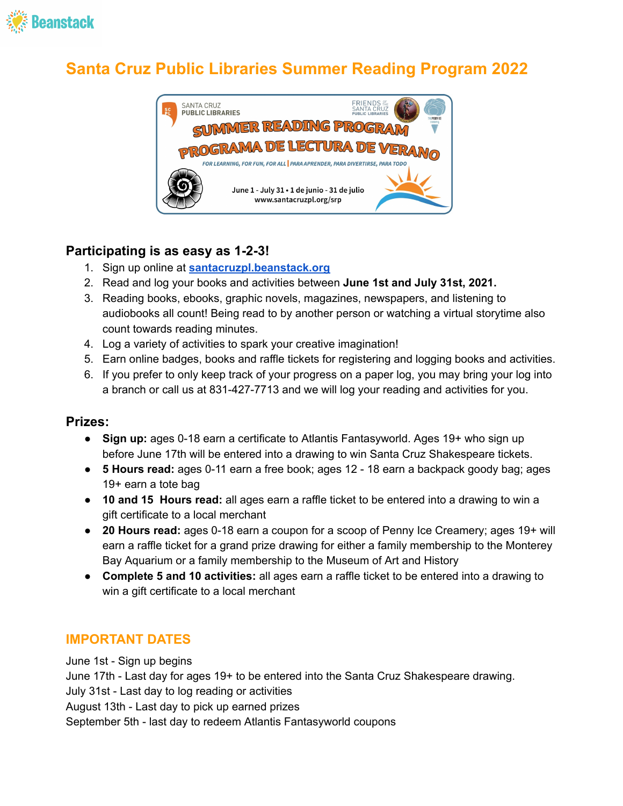

# **Santa Cruz Public Libraries Summer Reading Program 2022**



#### **Participating is as easy as 1-2-3!**

- 1. Sign up online at **[santacruzpl.beanstack.org](https://santacruzpl.beanstack.org/)**
- 2. Read and log your books and activities between **June 1st and July 31st, 2021.**
- 3. Reading books, ebooks, graphic novels, magazines, newspapers, and listening to audiobooks all count! Being read to by another person or watching a virtual storytime also count towards reading minutes.
- 4. Log a variety of activities to spark your creative imagination!
- 5. Earn online badges, books and raffle tickets for registering and logging books and activities.
- 6. If you prefer to only keep track of your progress on a paper log, you may bring your log into a branch or call us at 831-427-7713 and we will log your reading and activities for you.

#### **Prizes:**

- **Sign up:** ages 0-18 earn a certificate to Atlantis Fantasyworld. Ages 19+ who sign up before June 17th will be entered into a drawing to win Santa Cruz Shakespeare tickets.
- **5 Hours read:** ages 0-11 earn a free book; ages 12 18 earn a backpack goody bag; ages 19+ earn a tote bag
- **10 and 15 Hours read:** all ages earn a raffle ticket to be entered into a drawing to win a gift certificate to a local merchant
- **20 Hours read:** ages 0-18 earn a coupon for a scoop of Penny Ice Creamery; ages 19+ will earn a raffle ticket for a grand prize drawing for either a family membership to the Monterey Bay Aquarium or a family membership to the Museum of Art and History
- **Complete 5 and 10 activities:** all ages earn a raffle ticket to be entered into a drawing to win a gift certificate to a local merchant

#### **IMPORTANT DATES**

June 1st - Sign up begins June 17th - Last day for ages 19+ to be entered into the Santa Cruz Shakespeare drawing. July 31st - Last day to log reading or activities August 13th - Last day to pick up earned prizes September 5th - last day to redeem Atlantis Fantasyworld coupons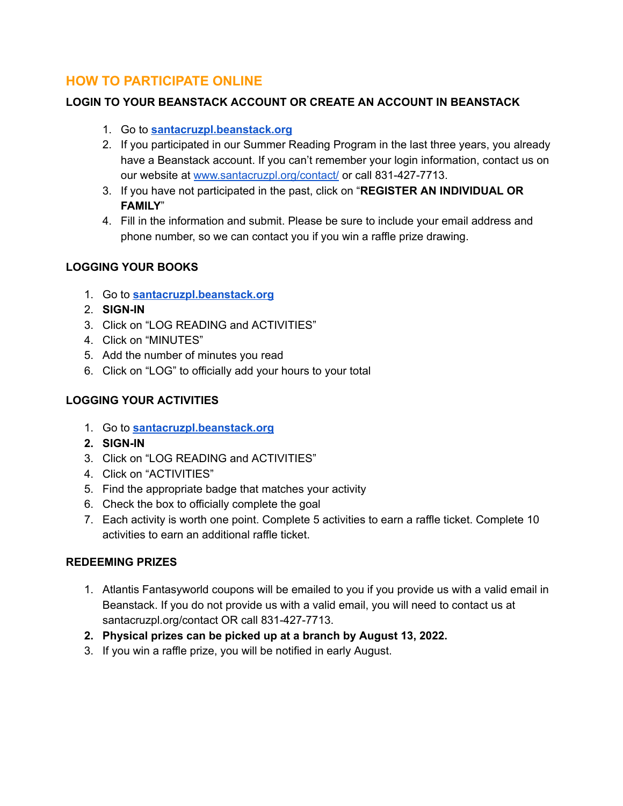#### **HOW TO PARTICIPATE ONLINE**

#### **LOGIN TO YOUR BEANSTACK ACCOUNT OR CREATE AN ACCOUNT IN BEANSTACK**

- 1. Go to **[santacruzpl.beanstack.org](https://santacruzpl.beanstack.org/)**
- 2. If you participated in our Summer Reading Program in the last three years, you already have a Beanstack account. If you can't remember your login information, contact us on our website at [www.santacruzpl.org/contact/](http://www.santacruzpl.org/contact/) or call 831-427-7713.
- 3. If you have not participated in the past, click on "**REGISTER AN INDIVIDUAL OR FAMILY**"
- 4. Fill in the information and submit. Please be sure to include your email address and phone number, so we can contact you if you win a raffle prize drawing.

#### **LOGGING YOUR BOOKS**

- 1. Go to **[santacruzpl.beanstack.org](https://santacruzpl.beanstack.org/)**
- 2. **SIGN-IN**
- 3. Click on "LOG READING and ACTIVITIES"
- 4. Click on "MINUTES"
- 5. Add the number of minutes you read
- 6. Click on "LOG" to officially add your hours to your total

#### **LOGGING YOUR ACTIVITIES**

- 1. Go to **[santacruzpl.beanstack.org](https://santacruzpl.beanstack.org/)**
- **2. SIGN-IN**
- 3. Click on "LOG READING and ACTIVITIES"
- 4. Click on "ACTIVITIES"
- 5. Find the appropriate badge that matches your activity
- 6. Check the box to officially complete the goal
- 7. Each activity is worth one point. Complete 5 activities to earn a raffle ticket. Complete 10 activities to earn an additional raffle ticket.

#### **REDEEMING PRIZES**

- 1. Atlantis Fantasyworld coupons will be emailed to you if you provide us with a valid email in Beanstack. If you do not provide us with a valid email, you will need to contact us at santacruzpl.org/contact OR call 831-427-7713.
- **2. Physical prizes can be picked up at a branch by August 13, 2022.**
- 3. If you win a raffle prize, you will be notified in early August.